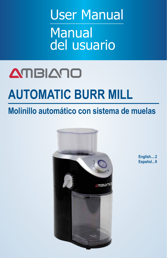User Manual Manual del usuario

# **AMBIANO**

# **AUTOMATIC BURR MILL**

# **Molinillo automático con sistema de muelas**



**English.... 2 Español... 9**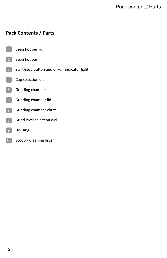# **Pack Contents / Parts**

- Bean hopper lid 1
- Bean hopper 2
- Start/stop button and on/off indicator light  $\boxed{3}$
- Cup selection dial 4
- Grinding chamber 5
- Grinding chamber lid 6
- Grinding chamber chute
- Grind level selection dial 8
- Housing 9
- Scoop / Cleaning brush 10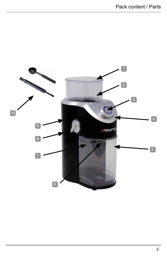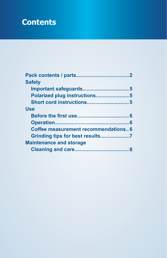# **Contents**

| <b>Safety</b>                        |
|--------------------------------------|
|                                      |
| Polarized plug instructions5         |
|                                      |
| Use                                  |
|                                      |
|                                      |
| Coffee measurement recommendations 6 |
|                                      |
| <b>Maintenance and storage</b>       |
|                                      |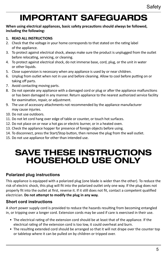# IMPORTANT SAFEGUARDS

#### **When using electrical appliances, basic safety precautions should always be followed, including the following:**

### **1. READ ALL INSTRUCTIONS**

- 2. Check that the voltage in your home corresponds to that stated on the rating label of the appliance.
- 3. To protect against electrical shock, always make sure the product is unplugged from the outlet before relocating, servicing, or cleaning.
- 4. To protect against electrical shock, do not immerse base, cord, plug, or the unit in water or other liquids.
- 5. Close supervision is necessary when any appliance is used by or near children.
- 6. Unplug from outlet when not in use and before cleaning. Allow to cool before putting on or taking off parts.
- 7. Avoid contacting moving parts.
- 8. Do not operate any appliance with a damaged cord or plug or after the appliance malfunctions or has been damaged in any manner. Return appliance to the nearest authorized service facility for examination, repair, or adjustment.
- 9. The use of accessory attachments not recommended by the appliance manufacturer may cause injuries.
- 10. Do not use outdoors.
- 11. Do not let cord hang over edge of table or counter, or touch hot surfaces.
- 12. Do not place on or near a hot gas or electric burner, or in a heated oven.
- 13. Check the appliance hopper for presence of foreign objects before using.
- 14. To disconnect, press the Start/Stop button, then remove the plug from the wall outlet.
- 15. Do not use appliance for other than intended use.

# SAVE THESE INSTRUCTIONS HOUSEHOLD USE ONLY

# **Polarized plug instructions**

This appliance is equipped with a polarized plug (one blade is wider than the other). To reduce the risk of electric shock, this plug will fit into the polarized outlet only one way. If the plug does not properly fit into the outlet at first, reverse it. If it still does not fit, contact a competent qualified electrician. **Do not attempt to modify the plug in any way.**

# **Short cord instructions**

A short power supply cord is provided to reduce the hazards resulting from becoming entangled in, or tripping over a longer cord. Extension cords may be used if care is exercised in their use.

- The electrical rating of the extension cord should be at least that of the appliance. If the electrical rating of the extension cord is too low, it could overheat and burn.
- The resulting extended cord should be arranged so that it will not drape over the counter top or tabletop where it can be pulled on by children or tripped over.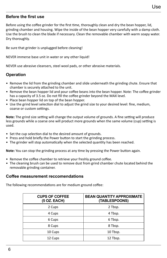## **Before the first use**

Before using the coffee grinder for the first time, thoroughly clean and dry the bean hopper, lid, grinding chamber and housing. Wipe the inside of the bean hopper very carefully with a damp cloth. Use the brush to clean the blade if necessary. Clean the removable chamber with warm soapy water. Dry thoroughly.

Be sure that grinder is unplugged before cleaning!

NEVER immerse base unit in water or any other liquid!

NEVER use abrasive cleansers, steel wool pads, or other abrasive materials.

# **Operation**

- Remove the lid from the grinding chamber and slide underneath the grinding chute. Ensure that chamber is securely attached to the unit.
- Remove the bean hopper lid and pour coffee beans into the bean hopper. Note: The coffee grinder has a capacity of 3.5 oz. Do not fill the coffee grinder beyond the MAX level.
- Place bean hopper lid on top of the bean hopper.
- Use the grind level selection dial to adjust the grind size to your desired level: fine, medium, coarse or custom settings.

**Note:** The grind size setting will change the output volume of grounds. A fine setting will produce less grounds while a coarse one will product more grounds when the same volume (cup) setting is used.

- Set the cup selection dial to the desired amount of grounds.
- Press and hold briefly the Power button to start the grinding process.
- The grinder will stop automatically when the selected quantity has been reached.

**Note:** You can stop the grinding process at any time by pressing the Power button again.

- Remove the coffee chamber to retrieve your freshly ground coffee.
- The cleaning brush can be used to remove dust from grind chamber chute located behind the removable grinding container.

#### **Coffee measurement reccomendations**

The following recommendations are for medium ground coffee:

| <b>CUPS OF COFFEE</b><br>(5 OZ. EACH) | <b>BEAN QUANTITY APPROXIMATE</b><br>(TABLESPOONS) |
|---------------------------------------|---------------------------------------------------|
| 2 Cups                                | 2 Tbsp.                                           |
| 4 Cups                                | 4 Tbsp.                                           |
| 6 Cups                                | 6 Tbsp.                                           |
| 8 Cups                                | 8 Tbsp.                                           |
| 10 Cups                               | 10 Tbsp.                                          |
| 12 Cups                               | 12 Tbsp.                                          |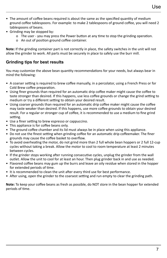- The amount of coffee beans required is about the same as the specified quantity of medium ground coffee tablespoons. For example: to make 2 tablespoons of ground coffee, you will need 2 tablespoons of beans.
- Grinding may be stopped by:
	- o The user you may press the Power button at any time to stop the grinding operation.
	- o An out of position ground coffee container.

**Note:** If the grinding container part is not correctly in place, the safety switches in the unit will not allow the grinder to work. All parts must be securely in place to safely use the burr mill.

# **Grinding tips for best results**

You may customize the above bean quantity recommendations for your needs, but always bear in mind the following:

- A coarser setting is required to brew coffee manually, in a percolator, using a French Press or for Cold Brew coffee preparation.
- Using finer grounds than required for an automatic drip coffee maker might cause the coffee to taste stronger than desired. If this happens, use less coffee grounds or change the grind setting to medium or try a different setting to obtain your desired result.
- Using coarser grounds than required for an automatic drip coffee maker might cause the coffee may taste weaker than desired. If this happens, use more coffee grounds to obtain your desired result. For a regular or stronger cup of coffee, it is recommended to use a medium to fine grind setting.
- Use a finer setting to brew espresso or cappuccino.
- This appliance is for coffee beans only.
- The ground coffee chamber and its lid must always be in place when using this appliance.
- Do not use the finest setting when grinding coffee for an automatic drip coffeemaker. The finer grounds may cause the coffee basket to overflow.
- To avoid overheating the motor, do not grind more than 2 full whole bean hoppers or 2 full 12-cup cycles without taking a break. Allow the motor to cool to room temperature at least 2 minutes between cycles.
- If the grinder stops working after running consecutive cycles, unplug the grinder from the wall outlet. Allow the unit to cool for at least an hour. Then plug grinder back in and use as needed.
- Flavored coffee beans may gum up the burrs and leave an oily residue when stored in the hopper for extended periods of time.
- It is recommended to clean the unit after every third use for best performance.
- After using, open the grinder to the coarsest setting and run empty to clear the grinding path.

**Note:** To keep your coffee beans as fresh as possible, do NOT store in the bean hopper for extended periods of time.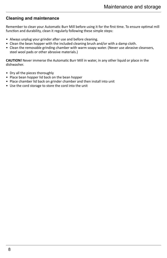## **Cleaning and maintenance**

Remember to clean your Automatic Burr Mill before using it for the first time. To ensure optimal mill function and durability, clean it regularly following these simple steps:

- Always unplug your grinder after use and before cleaning.
- Clean the bean hopper with the included cleaning brush and/or with a damp cloth.
- Clean the removable grinding chamber with warm soapy water. (Never use abrasive cleansers, steel wool pads or other abrasive materials.)

**CAUTION!** Never immerse the Automatic Burr Mill in water, in any other liquid or place in the dishwasher.

- Dry all the pieces thoroughly
- Place bean hopper lid back on the bean hopper
- Place chamber lid back on grinder chamber and then install into unit
- Use the cord storage to store the cord into the unit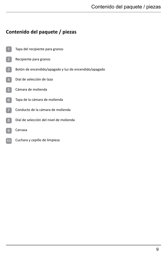# **Contenido del paquete / piezas**

- Tapa del recipiente para granos
- Recipiente para granos 2
- Botón de encendido/apagado y luz de encendido/apagado
- Dial de selección de taza
- Cámara de molienda
- Tapa de la cámara de molienda 6
- Conducto de la cámara de molienda
- Dial de selección del nivel de molienda 8
- Carcasa  $9$
- Cuchara y cepillo de limpieza 10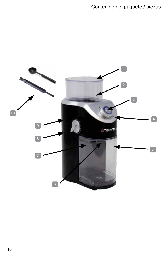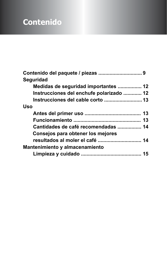# **Contenido**

| <b>Seguridad</b>                         |  |
|------------------------------------------|--|
| Medidas de seguridad importantes  12     |  |
| Instrucciones del enchufe polarizado  12 |  |
| Instrucciones del cable corto  13        |  |
| Uso                                      |  |
|                                          |  |
|                                          |  |
| Cantidades de café recomendadas  14      |  |
| Consejos para obtener los mejores        |  |
| resultados al moler el café  14          |  |
| Mantenimiento y almacenamiento           |  |
|                                          |  |
|                                          |  |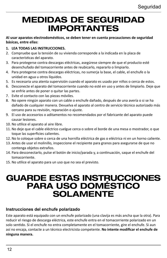# MEDIDAS DE SEGURIDAD IMPORTANTES

#### **Al usar aparatos electrodomésticos, se deben tener en cuenta precauciones de seguridad básicas, entre ellas:**

- **1. LEA TODAS LAS INSTRUCCIONES.**
- 2. Compruebe que la tensión de su vivienda corresponde a la indicada en la placa de características del aparato.
- 3. Para protegerse contra descargas eléctricas, asegúrese siempre de que el producto esté desenchufado del tomacorriente antes de reubicarlo, repararlo o limpiarlo.
- 4. Para protegerse contra descargas eléctricas, no sumerja la base, el cable, el enchufe o la unidad en agua u otros líquidos.
- 5. Es necesaria una atenta supervisión cuando el aparato es usado por niños o cerca de estos.
- 6. Desconecte el aparato del tomacorriente cuando no esté en uso y antes de limpiarlo. Deje que se enfríe antes de poner o quitar las partes.
- 7. Evite el contacto con las piezas móviles.
- 8. No opere ningún aparato con un cable o enchufe dañado, después de una avería o si se ha dañado de cualquier manera. Devuelva el aparato al centro de servicio técnico autorizado más cercano para su revisión, reparación o ajuste.
- 9. El uso de accesorios o aditamentos no recomendados por el fabricante del aparato puede causar lesiones.
- 10. No utilice el aparato al aire libre.
- 11. No deje que el cable eléctrico cuelgue cerca o sobre el borde de una mesa o mostrador, o que toque las superficies calientes.
- 12. No lo coloque sobre o cerca de una hornilla eléctrica de gas o eléctrica ni en un horno caliente.
- 13. Antes de usar el molinillo, inspeccione el recipiente para granos para asegurarse de que no contenga objetos extraños.
- 14. Para desconectarlo, pulse el botón de inicio/parada y, a continuación, saque el enchufe del tomacorriente.
- 15. No utilice el aparato para un uso que no sea el previsto.

# GUARDE ESTAS INSTRUCCIONES PARA USO DOMÉSTICO SOLAMENTE

# **Instrucciones del enchufe polarizado**

Este aparato está equipado con un enchufe polarizado (una clavija es más ancha que la otra). Para reducir el riesgo de descarga eléctrica, este enchufe entra en el tomacorriente polarizado en un solo sentido. Si el enchufe no entra completamente en el tomacorriente, gire el enchufe. Si aun así no encaja, contacte a un técnico electricista competente. **No intente modificar el enchufe de ninguna manera.**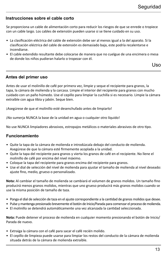# **Instrucciones sobre el cable corto**

Se proporciona un cable de alimentación corto para reducir los riesgos de que se enrede o tropiece con un cable largo. Los cables de extensión pueden usarse si se tiene cuidado en su uso.

- La clasificación eléctrica del cable de extensión debe ser al menos igual a la del aparato. Si la clasificación eléctrica del cable de extensión es demasiado baja, este podría recalentarse e incendiarse.
- El cable extendido resultante debe colocarse de manera que no cuelgue de una encimera o mesa de donde los niños pudieran halarlo o tropezar con él.

Uso

# **Antes del primer uso**

Antes de usar el molinillo de café por primera vez, limpie y seque el recipiente para granos, la tapa, la cámara de molienda y la carcasa. Limpie el interior del recipiente para granos con mucho cuidado con un paño húmedo. Use el cepillo para limpiar la cuchilla si es necesario. Limpie la cámara extraíble con agua tibia y jabón. Seque bien.

¡Asegúrese de que el molinillo esté desenchufado antes de limpiarlo!

¡No sumerja NUNCA la base de la unidad en agua o cualquier otro líquido!

No use NUNCA limpiadores abrasivos, estropajos metálicos o materiales abrasivos de otro tipo.

# **Funcionamiento**

- Quite la tapa de la cámara de molienda e introdúzcala debajo del conducto de molienda. Asegúrese de que la cámara esté firmemente acoplada a la unidad.
- Quite la tapa del recipiente para granos y vierta los granos de café en el recipiente. No llene el molinillo de café por encima del nivel máximo.
- Coloque la tapa del recipiente para granos encima del recipiente para granos.
- Use el dial de selección del nivel de molienda para ajustar el tamaño de molienda al nivel deseado: ajuste fino, medio, grueso o personalizado.

**Nota:** Al cambiar el tamaño de molienda se cambiará el volumen de granos molidos. Un tamaño fino producirá menos granos molidos, mientras que uno grueso producirá más granos molidos cuando se use la misma posición de tamaño de taza.

- Ponga el dial de selección de taza en el ajuste correspondiente a la cantidad de granos molidos que desee.
- Pulse y mantenga presionado brevemente el botón de Inicio/Parada para comenzar el proceso de molienda.
- El molinillo se detendrá automáticamente una vez alcanzada la cantidad seleccionada.

**Nota:** Puede detener el proceso de molienda en cualquier momento presionando el botón de Inicio/ Parada de nuevo.

- Extraiga la cámara con el café para sacar el café recién molido.
- El cepillo de limpieza puede usarse para limpiar los restos del conducto de la cámara de molienda situada detrás de la cámara de molienda extraíble.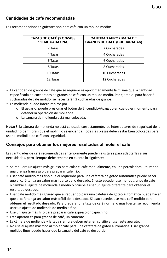# **Cantidades de café recomendadas**

| TAZAS DE CAFÉ (5 ONZAS /<br>150 ML CADA UNA) | <b>CANTIDAD APROXIMADA DE</b><br><b>GRANOS DE CAFÉ (CUCHARADAS)</b> |
|----------------------------------------------|---------------------------------------------------------------------|
| 2 Tazas                                      | 2 Cucharadas                                                        |
| 4 Tazas                                      | 4 Cucharadas                                                        |
| 6 Tazas                                      | 6 Cucharadas                                                        |
| 8 Tazas                                      | 8 Cucharadas                                                        |
| 10 Tazas                                     | 10 Cucharadas                                                       |
| 12 Tazas                                     | 12 Cucharadas                                                       |

Las recomendaciones siguientes son para café con un molido medio:

- La cantidad de granos de café que se requiere es aproximadamente la misma que la cantidad especificada de cucharadas de granos de café con un molido medio. Por ejemplo: para hacer 2 cucharadas de café molido, se necesitarán 2 cucharadas de granos.
- La molienda puede interrumpirse por:
	- o El usuario: puede presionar el botón de Encendido/Apagado en cualquier momento para detener la operación de molienda.
	- o La cámara de molienda está mal colocada.

**Nota:** Si la cámara de molienda no está colocada correctamente, los interruptores de seguridad de la unidad no permitirán que el molinillo se encienda. Todas las piezas deben estar bien colocadas para usar el molinillo de café con seguridad.

# **Consejos para obtener los mejores resultados al moler el café**

Las cantidades de café recomendadas anteriormente pueden ajustarse para adaptarlas a sus necesidades, pero siempre debe tenerse en cuenta lo siguiente:

- Se requiere un ajuste más grueso para colar el café manualmente, en una percoladora, utilizando una prensa francesa o para preparar café frío.
- Usar café molido más fino que el requerido para una cafetera de goteo automática puede hacer que el café tenga un sabor más fuerte de lo deseado. Si esto sucede, use menos granos de café o cambie el ajuste de molienda a medio o pruebe a usar un ajuste diferente para obtener el resultado deseado.
- Usar café molido más grueso que el requerido para una cafetera de goteo automática puede hacer que el café tenga un sabor más débil de lo deseado. Si esto sucede, use más café molido para obtener el resultado deseado. Para preparar una taza de café normal o más fuerte, se recomienda usar un ajuste de molienda de medio a fino.
- Use un ajuste más fino para preparar café expreso or capuchino.
- Este aparato es para granos de café, únicamente.
- La cámara de molienda y la tapa siempre deben estar en su sitio al usar este aparato.
- No use el ajuste más fino al moler café para una cafetera de goteo automática. Usar granos molidos finos puede hacer que la canasta del café se desborde.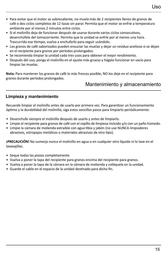- Para evitar que el motor se sobrecaliente, no muela más de 2 recipientes llenos de granos de café o dos ciclos completos de 12 tazas sin parar. Permita que el motor se enfríe a temperatura ambiente por al menos 2 minutos entre ciclos.
- Si el molinillo deja de funcionar después de usarse durante varios ciclos consecutivos, desenchúfelo del tomacorriente. Permita que la unidad se enfríe por al menos una hora. Trascurrido ese tiempo, vuelva a enchufarlo para seguir usándolo.
- Los granos de café saborizados pueden ensuciar las muelas y dejar un residuo aceitoso si se dejan en el recipiente para granos por períodos prolongados.
- Se recomienda limpiar la unidad cada tres usos para obtener el mejor rendimiento.
- Después del uso, ponga el molinillo en el ajuste más grueso y hágalo funcionar en vacío para limpiar las muelas.

**Nota:** Para mantener los granos de café lo más frescos posible, NO los deje en el recipiente para granos durante períodos prolongados.

# Mantenimiento y almacenamiento

# **Limpieza y mantenimiento**

Recuerde limpiar el molinillo antes de usarlo por primera vez. Para garantizar un funcionamiento óptimo y la durabilidad del molinillo, siga estos sencillos pasos para limpiarlo periódicamente:

- Desenchufe siempre el molinillo después de usarlo y antes de limpiarlo.
- Limpie el recipiente para granos de café con el cepillo de limpieza incluido y/o con un paño húmedo.
- Limpie la cámara de molienda extraíble con agua tibia y jabón (no use NUNCA limpiadores abrasivos, estropajos metálicos o materiales abrasivos de otro tipo).

**¡PRECAUCIÓN!** No sumerja nunca el molinillo en agua o en cualquier otro líquido ni lo lave en el lavavajillas.

- Seque todas las piezas completamente.
- Vuelva a poner la tapa del recipiente para granos encima del recipiente para granos.
- Vuelva a poner la tapa de la cámara en la cámara de molienda y colóquela en la unidad.
- Guarde el cable en el espacio de la unidad destinado para dicho fin.